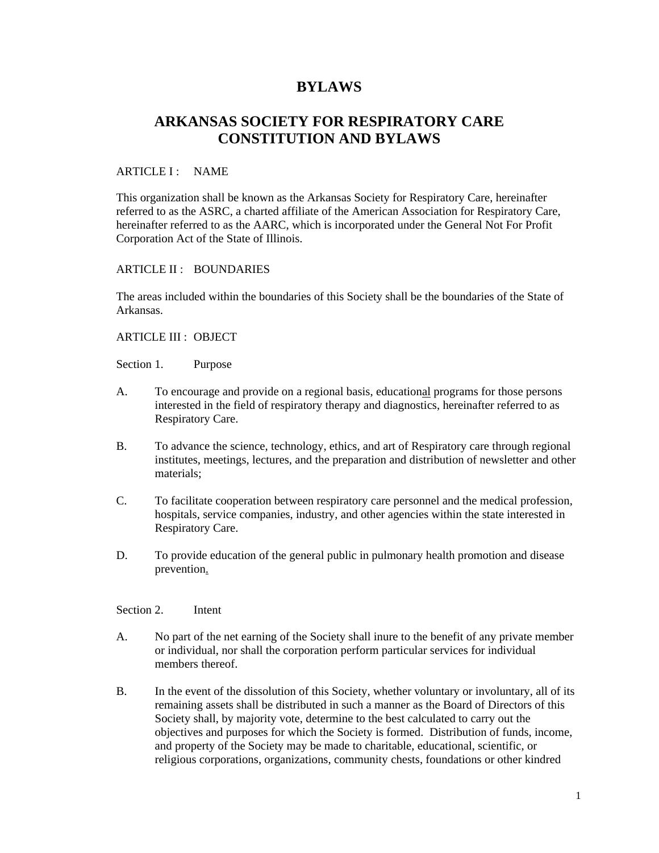# **BYLAWS**

# **ARKANSAS SOCIETY FOR RESPIRATORY CARE CONSTITUTION AND BYLAWS**

## ARTICLE I : NAME

This organization shall be known as the Arkansas Society for Respiratory Care, hereinafter referred to as the ASRC, a charted affiliate of the American Association for Respiratory Care, hereinafter referred to as the AARC, which is incorporated under the General Not For Profit Corporation Act of the State of Illinois.

# ARTICLE II : BOUNDARIES

The areas included within the boundaries of this Society shall be the boundaries of the State of Arkansas.

ARTICLE III : OBJECT

Section 1. Purpose

- A. To encourage and provide on a regional basis, educational programs for those persons interested in the field of respiratory therapy and diagnostics, hereinafter referred to as Respiratory Care.
- B. To advance the science, technology, ethics, and art of Respiratory care through regional institutes, meetings, lectures, and the preparation and distribution of newsletter and other materials;
- C. To facilitate cooperation between respiratory care personnel and the medical profession, hospitals, service companies, industry, and other agencies within the state interested in Respiratory Care.
- D. To provide education of the general public in pulmonary health promotion and disease prevention.

#### Section 2. Intent

- A. No part of the net earning of the Society shall inure to the benefit of any private member or individual, nor shall the corporation perform particular services for individual members thereof.
- B. In the event of the dissolution of this Society, whether voluntary or involuntary, all of its remaining assets shall be distributed in such a manner as the Board of Directors of this Society shall, by majority vote, determine to the best calculated to carry out the objectives and purposes for which the Society is formed. Distribution of funds, income, and property of the Society may be made to charitable, educational, scientific, or religious corporations, organizations, community chests, foundations or other kindred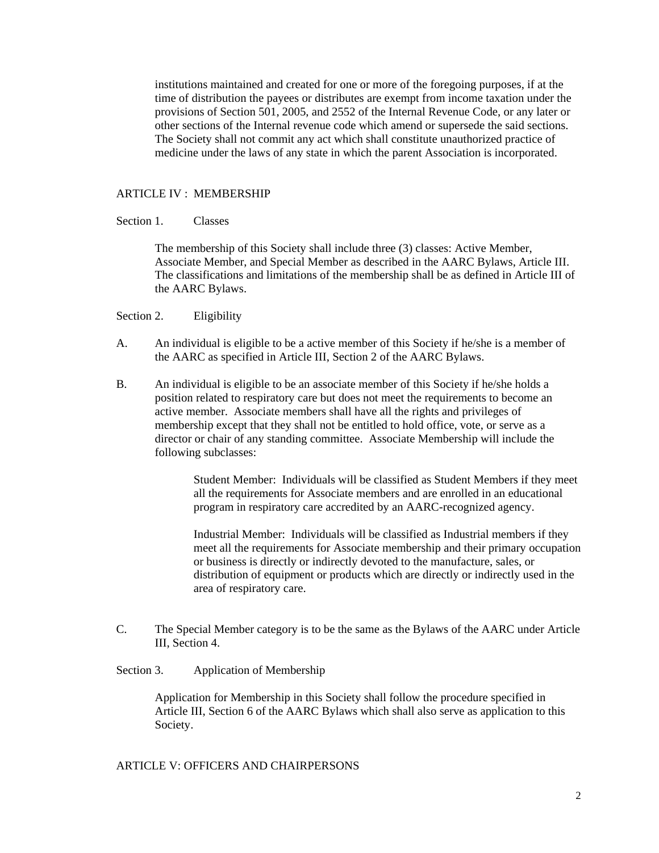institutions maintained and created for one or more of the foregoing purposes, if at the time of distribution the payees or distributes are exempt from income taxation under the provisions of Section 501, 2005, and 2552 of the Internal Revenue Code, or any later or other sections of the Internal revenue code which amend or supersede the said sections. The Society shall not commit any act which shall constitute unauthorized practice of medicine under the laws of any state in which the parent Association is incorporated.

#### ARTICLE IV : MEMBERSHIP

#### Section 1. Classes

The membership of this Society shall include three (3) classes: Active Member, Associate Member, and Special Member as described in the AARC Bylaws, Article III. The classifications and limitations of the membership shall be as defined in Article III of the AARC Bylaws.

Section 2. Eligibility

- A. An individual is eligible to be a active member of this Society if he/she is a member of the AARC as specified in Article III, Section 2 of the AARC Bylaws.
- B. An individual is eligible to be an associate member of this Society if he/she holds a position related to respiratory care but does not meet the requirements to become an active member. Associate members shall have all the rights and privileges of membership except that they shall not be entitled to hold office, vote, or serve as a director or chair of any standing committee. Associate Membership will include the following subclasses:

Student Member: Individuals will be classified as Student Members if they meet all the requirements for Associate members and are enrolled in an educational program in respiratory care accredited by an AARC-recognized agency.

Industrial Member: Individuals will be classified as Industrial members if they meet all the requirements for Associate membership and their primary occupation or business is directly or indirectly devoted to the manufacture, sales, or distribution of equipment or products which are directly or indirectly used in the area of respiratory care.

C. The Special Member category is to be the same as the Bylaws of the AARC under Article III, Section 4.

#### Section 3. Application of Membership

Application for Membership in this Society shall follow the procedure specified in Article III, Section 6 of the AARC Bylaws which shall also serve as application to this Society.

#### ARTICLE V: OFFICERS AND CHAIRPERSONS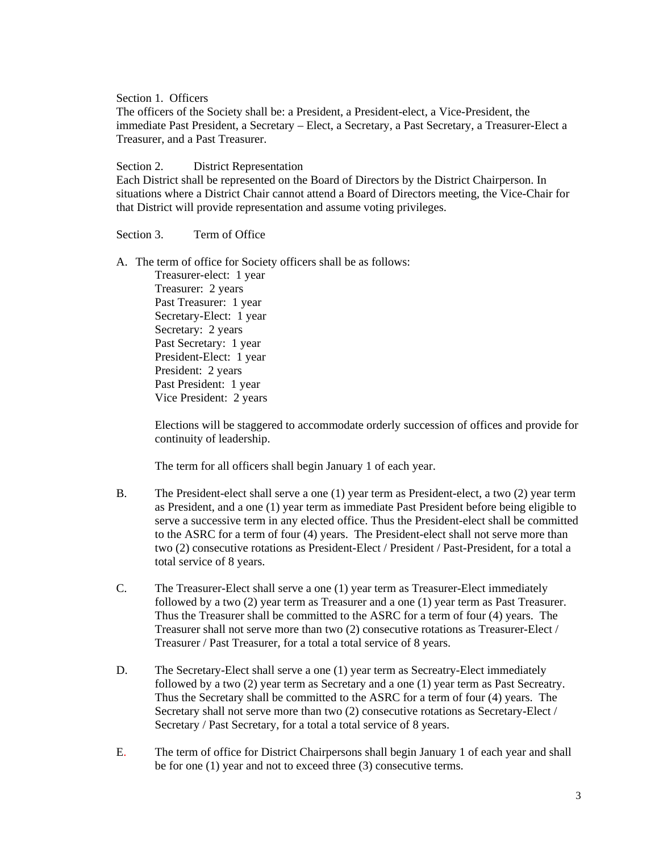Section 1. Officers

The officers of the Society shall be: a President, a President-elect, a Vice-President, the immediate Past President, a Secretary – Elect, a Secretary, a Past Secretary, a Treasurer-Elect a Treasurer, and a Past Treasurer.

#### Section 2. District Representation

Each District shall be represented on the Board of Directors by the District Chairperson. In situations where a District Chair cannot attend a Board of Directors meeting, the Vice-Chair for that District will provide representation and assume voting privileges.

#### Section 3. Term of Office

A. The term of office for Society officers shall be as follows:

Treasurer-elect: 1 year Treasurer: 2 years Past Treasurer: 1 year Secretary-Elect: 1 year Secretary: 2 years Past Secretary: 1 year President-Elect: 1 year President: 2 years Past President: 1 year Vice President: 2 years

Elections will be staggered to accommodate orderly succession of offices and provide for continuity of leadership.

The term for all officers shall begin January 1 of each year.

- B. The President-elect shall serve a one (1) year term as President-elect, a two (2) year term as President, and a one (1) year term as immediate Past President before being eligible to serve a successive term in any elected office. Thus the President-elect shall be committed to the ASRC for a term of four (4) years. The President-elect shall not serve more than two (2) consecutive rotations as President-Elect / President / Past-President, for a total a total service of 8 years.
- C. The Treasurer-Elect shall serve a one (1) year term as Treasurer-Elect immediately followed by a two (2) year term as Treasurer and a one (1) year term as Past Treasurer. Thus the Treasurer shall be committed to the ASRC for a term of four (4) years. The Treasurer shall not serve more than two (2) consecutive rotations as Treasurer-Elect / Treasurer / Past Treasurer, for a total a total service of 8 years.
- D. The Secretary-Elect shall serve a one (1) year term as Secreatry-Elect immediately followed by a two (2) year term as Secretary and a one (1) year term as Past Secreatry. Thus the Secretary shall be committed to the ASRC for a term of four (4) years. The Secretary shall not serve more than two (2) consecutive rotations as Secretary-Elect / Secretary / Past Secretary, for a total a total service of 8 years.
- E. The term of office for District Chairpersons shall begin January 1 of each year and shall be for one (1) year and not to exceed three (3) consecutive terms.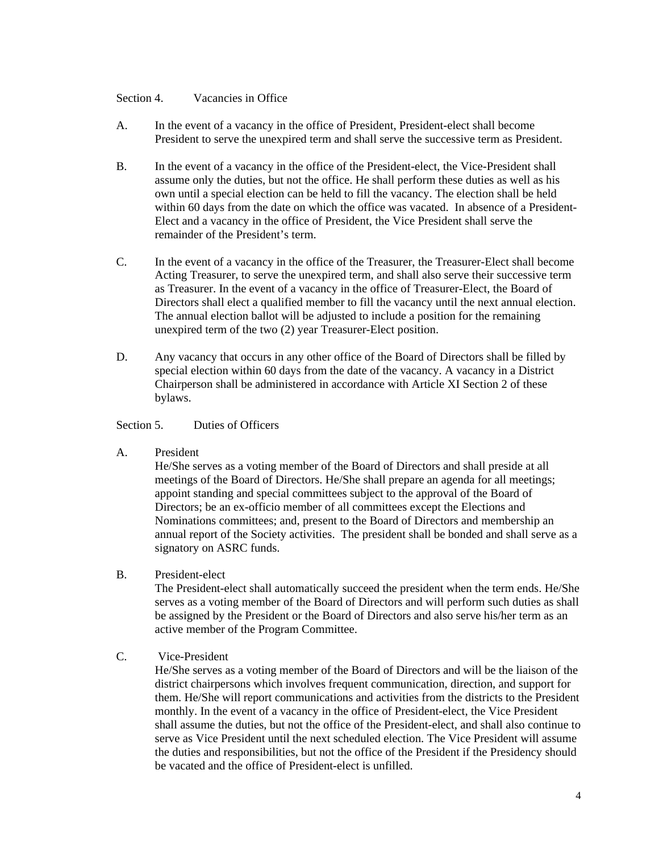#### Section 4. Vacancies in Office

- A. In the event of a vacancy in the office of President, President-elect shall become President to serve the unexpired term and shall serve the successive term as President.
- B. In the event of a vacancy in the office of the President-elect, the Vice-President shall assume only the duties, but not the office. He shall perform these duties as well as his own until a special election can be held to fill the vacancy. The election shall be held within 60 days from the date on which the office was vacated. In absence of a President-Elect and a vacancy in the office of President, the Vice President shall serve the remainder of the President's term.
- C. In the event of a vacancy in the office of the Treasurer, the Treasurer-Elect shall become Acting Treasurer, to serve the unexpired term, and shall also serve their successive term as Treasurer. In the event of a vacancy in the office of Treasurer-Elect, the Board of Directors shall elect a qualified member to fill the vacancy until the next annual election. The annual election ballot will be adjusted to include a position for the remaining unexpired term of the two (2) year Treasurer-Elect position.
- D. Any vacancy that occurs in any other office of the Board of Directors shall be filled by special election within 60 days from the date of the vacancy. A vacancy in a District Chairperson shall be administered in accordance with Article XI Section 2 of these bylaws.

#### Section 5. Duties of Officers

A. President

He/She serves as a voting member of the Board of Directors and shall preside at all meetings of the Board of Directors. He/She shall prepare an agenda for all meetings; appoint standing and special committees subject to the approval of the Board of Directors; be an ex-officio member of all committees except the Elections and Nominations committees; and, present to the Board of Directors and membership an annual report of the Society activities. The president shall be bonded and shall serve as a signatory on ASRC funds.

B. President-elect

The President-elect shall automatically succeed the president when the term ends. He/She serves as a voting member of the Board of Directors and will perform such duties as shall be assigned by the President or the Board of Directors and also serve his/her term as an active member of the Program Committee.

# C. Vice-President

He/She serves as a voting member of the Board of Directors and will be the liaison of the district chairpersons which involves frequent communication, direction, and support for them. He/She will report communications and activities from the districts to the President monthly. In the event of a vacancy in the office of President-elect, the Vice President shall assume the duties, but not the office of the President-elect, and shall also continue to serve as Vice President until the next scheduled election. The Vice President will assume the duties and responsibilities, but not the office of the President if the Presidency should be vacated and the office of President-elect is unfilled.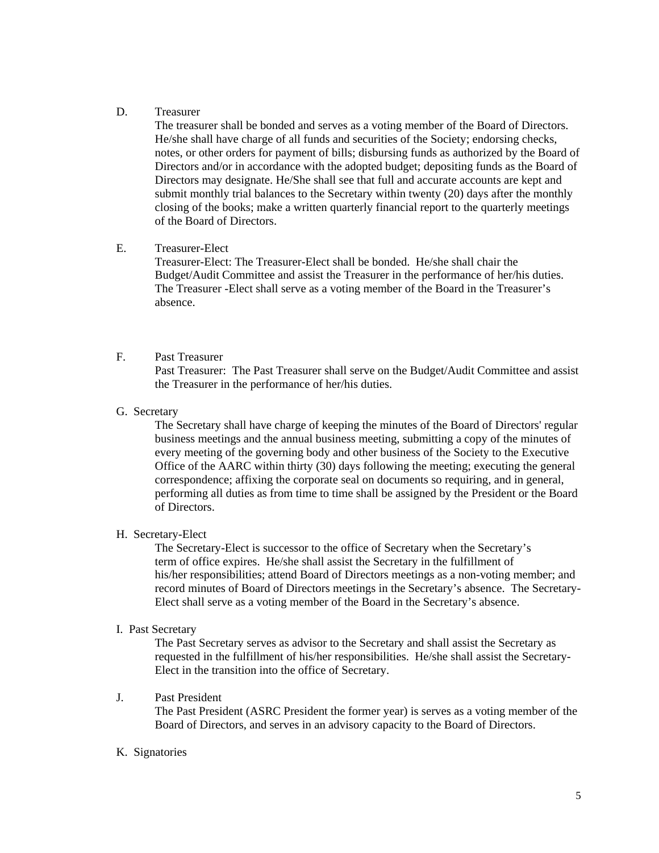#### D. Treasurer

The treasurer shall be bonded and serves as a voting member of the Board of Directors. He/she shall have charge of all funds and securities of the Society; endorsing checks, notes, or other orders for payment of bills; disbursing funds as authorized by the Board of Directors and/or in accordance with the adopted budget; depositing funds as the Board of Directors may designate. He/She shall see that full and accurate accounts are kept and submit monthly trial balances to the Secretary within twenty (20) days after the monthly closing of the books; make a written quarterly financial report to the quarterly meetings of the Board of Directors.

#### E. Treasurer-Elect

Treasurer-Elect: The Treasurer-Elect shall be bonded. He/she shall chair the Budget/Audit Committee and assist the Treasurer in the performance of her/his duties. The Treasurer -Elect shall serve as a voting member of the Board in the Treasurer's absence.

# F. Past Treasurer

Past Treasurer: The Past Treasurer shall serve on the Budget/Audit Committee and assist the Treasurer in the performance of her/his duties.

#### G. Secretary

The Secretary shall have charge of keeping the minutes of the Board of Directors' regular business meetings and the annual business meeting, submitting a copy of the minutes of every meeting of the governing body and other business of the Society to the Executive Office of the AARC within thirty (30) days following the meeting; executing the general correspondence; affixing the corporate seal on documents so requiring, and in general, performing all duties as from time to time shall be assigned by the President or the Board of Directors.

#### H. Secretary-Elect

 The Secretary-Elect is successor to the office of Secretary when the Secretary's term of office expires. He/she shall assist the Secretary in the fulfillment of his/her responsibilities; attend Board of Directors meetings as a non-voting member; and record minutes of Board of Directors meetings in the Secretary's absence. The Secretary-Elect shall serve as a voting member of the Board in the Secretary's absence.

#### I. Past Secretary

The Past Secretary serves as advisor to the Secretary and shall assist the Secretary as requested in the fulfillment of his/her responsibilities. He/she shall assist the Secretary-Elect in the transition into the office of Secretary.

#### J. Past President

The Past President (ASRC President the former year) is serves as a voting member of the Board of Directors, and serves in an advisory capacity to the Board of Directors.

# K. Signatories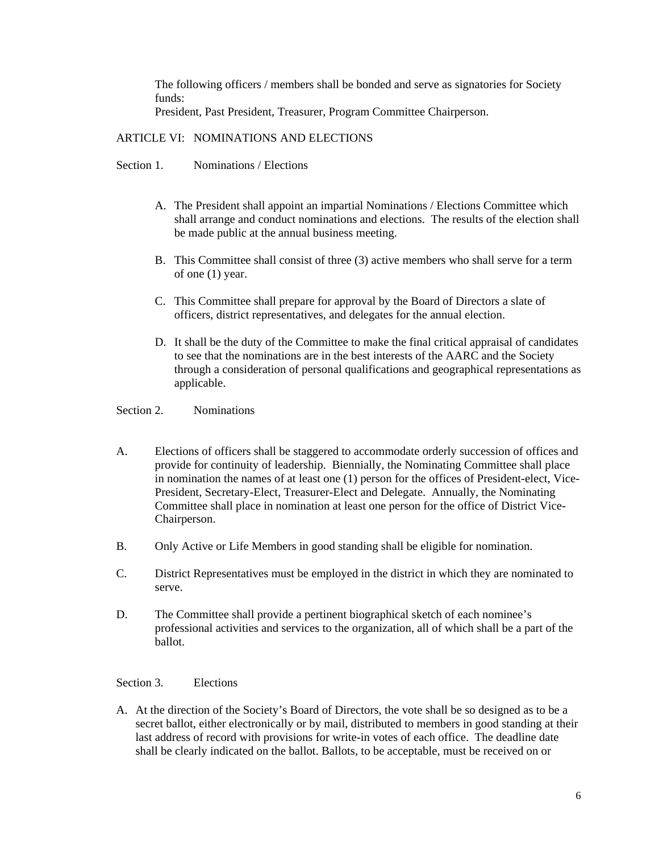The following officers / members shall be bonded and serve as signatories for Society funds:

President, Past President, Treasurer, Program Committee Chairperson.

## ARTICLE VI: NOMINATIONS AND ELECTIONS

Section 1. Nominations / Elections

- A. The President shall appoint an impartial Nominations / Elections Committee which shall arrange and conduct nominations and elections. The results of the election shall be made public at the annual business meeting.
- B. This Committee shall consist of three (3) active members who shall serve for a term of one (1) year.
- C. This Committee shall prepare for approval by the Board of Directors a slate of officers, district representatives, and delegates for the annual election.
- D. It shall be the duty of the Committee to make the final critical appraisal of candidates to see that the nominations are in the best interests of the AARC and the Society through a consideration of personal qualifications and geographical representations as applicable.

Section 2. Nominations

- A. Elections of officers shall be staggered to accommodate orderly succession of offices and provide for continuity of leadership. Biennially, the Nominating Committee shall place in nomination the names of at least one (1) person for the offices of President-elect, Vice-President, Secretary-Elect, Treasurer-Elect and Delegate. Annually, the Nominating Committee shall place in nomination at least one person for the office of District Vice-Chairperson.
- B. Only Active or Life Members in good standing shall be eligible for nomination.
- C. District Representatives must be employed in the district in which they are nominated to serve.
- D. The Committee shall provide a pertinent biographical sketch of each nominee's professional activities and services to the organization, all of which shall be a part of the ballot.

#### Section 3. Elections

A. At the direction of the Society's Board of Directors, the vote shall be so designed as to be a secret ballot, either electronically or by mail, distributed to members in good standing at their last address of record with provisions for write-in votes of each office. The deadline date shall be clearly indicated on the ballot. Ballots, to be acceptable, must be received on or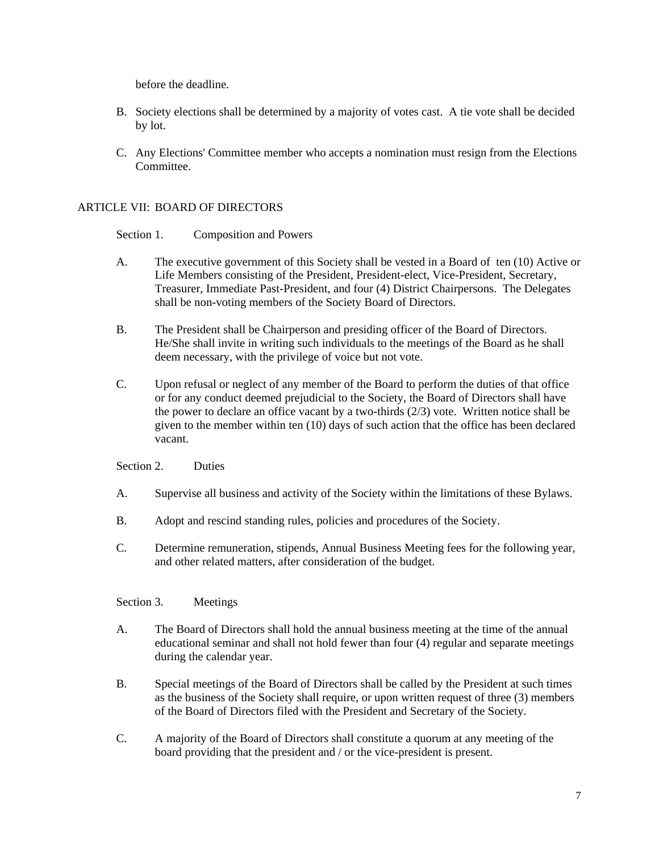before the deadline.

- B. Society elections shall be determined by a majority of votes cast. A tie vote shall be decided by lot.
- C. Any Elections' Committee member who accepts a nomination must resign from the Elections Committee.

# ARTICLE VII: BOARD OF DIRECTORS

Section 1. Composition and Powers

- A. The executive government of this Society shall be vested in a Board of ten (10) Active or Life Members consisting of the President, President-elect, Vice-President, Secretary, Treasurer, Immediate Past-President, and four (4) District Chairpersons. The Delegates shall be non-voting members of the Society Board of Directors.
- B. The President shall be Chairperson and presiding officer of the Board of Directors. He/She shall invite in writing such individuals to the meetings of the Board as he shall deem necessary, with the privilege of voice but not vote.
- C. Upon refusal or neglect of any member of the Board to perform the duties of that office or for any conduct deemed prejudicial to the Society, the Board of Directors shall have the power to declare an office vacant by a two-thirds (2/3) vote. Written notice shall be given to the member within ten (10) days of such action that the office has been declared vacant.

Section 2. Duties

- A. Supervise all business and activity of the Society within the limitations of these Bylaws.
- B. Adopt and rescind standing rules, policies and procedures of the Society.
- C. Determine remuneration, stipends, Annual Business Meeting fees for the following year, and other related matters, after consideration of the budget.

# Section 3. Meetings

- A. The Board of Directors shall hold the annual business meeting at the time of the annual educational seminar and shall not hold fewer than four (4) regular and separate meetings during the calendar year.
- B. Special meetings of the Board of Directors shall be called by the President at such times as the business of the Society shall require, or upon written request of three (3) members of the Board of Directors filed with the President and Secretary of the Society.
- C. A majority of the Board of Directors shall constitute a quorum at any meeting of the board providing that the president and / or the vice-president is present.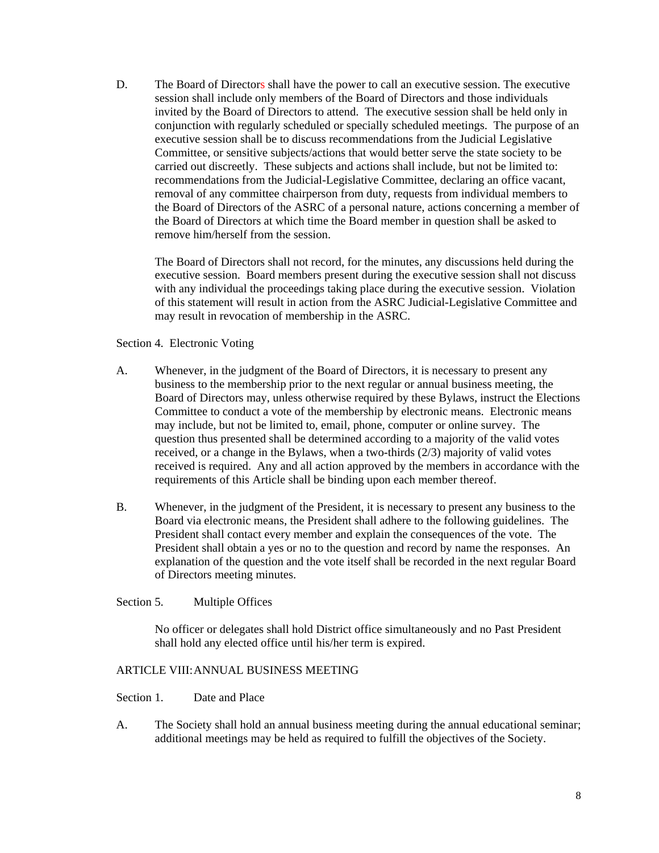D. The Board of Directors shall have the power to call an executive session. The executive session shall include only members of the Board of Directors and those individuals invited by the Board of Directors to attend. The executive session shall be held only in conjunction with regularly scheduled or specially scheduled meetings. The purpose of an executive session shall be to discuss recommendations from the Judicial Legislative Committee, or sensitive subjects/actions that would better serve the state society to be carried out discreetly. These subjects and actions shall include, but not be limited to: recommendations from the Judicial-Legislative Committee, declaring an office vacant, removal of any committee chairperson from duty, requests from individual members to the Board of Directors of the ASRC of a personal nature, actions concerning a member of the Board of Directors at which time the Board member in question shall be asked to remove him/herself from the session.

The Board of Directors shall not record, for the minutes, any discussions held during the executive session. Board members present during the executive session shall not discuss with any individual the proceedings taking place during the executive session. Violation of this statement will result in action from the ASRC Judicial-Legislative Committee and may result in revocation of membership in the ASRC.

Section 4. Electronic Voting

- A. Whenever, in the judgment of the Board of Directors, it is necessary to present any business to the membership prior to the next regular or annual business meeting, the Board of Directors may, unless otherwise required by these Bylaws, instruct the Elections Committee to conduct a vote of the membership by electronic means. Electronic means may include, but not be limited to, email, phone, computer or online survey. The question thus presented shall be determined according to a majority of the valid votes received, or a change in the Bylaws, when a two-thirds (2/3) majority of valid votes received is required. Any and all action approved by the members in accordance with the requirements of this Article shall be binding upon each member thereof.
- B. Whenever, in the judgment of the President, it is necessary to present any business to the Board via electronic means, the President shall adhere to the following guidelines. The President shall contact every member and explain the consequences of the vote. The President shall obtain a yes or no to the question and record by name the responses. An explanation of the question and the vote itself shall be recorded in the next regular Board of Directors meeting minutes.

# Section 5. Multiple Offices

No officer or delegates shall hold District office simultaneously and no Past President shall hold any elected office until his/her term is expired.

# ARTICLE VIII: ANNUAL BUSINESS MEETING

Section 1. Date and Place

A. The Society shall hold an annual business meeting during the annual educational seminar; additional meetings may be held as required to fulfill the objectives of the Society.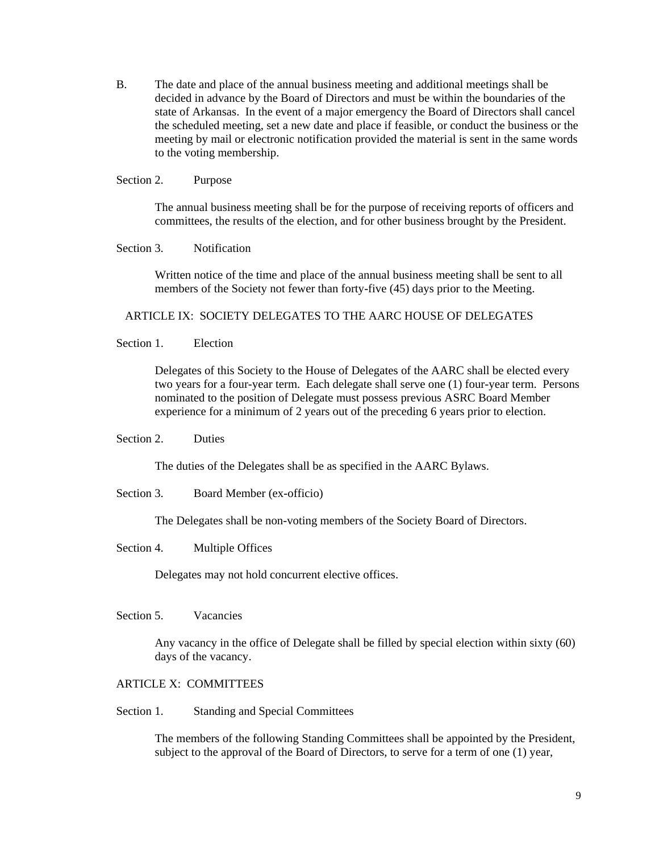B. The date and place of the annual business meeting and additional meetings shall be decided in advance by the Board of Directors and must be within the boundaries of the state of Arkansas. In the event of a major emergency the Board of Directors shall cancel the scheduled meeting, set a new date and place if feasible, or conduct the business or the meeting by mail or electronic notification provided the material is sent in the same words to the voting membership.

#### Section 2. Purpose

The annual business meeting shall be for the purpose of receiving reports of officers and committees, the results of the election, and for other business brought by the President.

#### Section 3. Notification

Written notice of the time and place of the annual business meeting shall be sent to all members of the Society not fewer than forty-five (45) days prior to the Meeting.

#### ARTICLE IX: SOCIETY DELEGATES TO THE AARC HOUSE OF DELEGATES

Section 1. Election

Delegates of this Society to the House of Delegates of the AARC shall be elected every two years for a four-year term. Each delegate shall serve one (1) four-year term. Persons nominated to the position of Delegate must possess previous ASRC Board Member experience for a minimum of 2 years out of the preceding 6 years prior to election.

#### Section 2. Duties

The duties of the Delegates shall be as specified in the AARC Bylaws.

Section 3. Board Member (ex-officio)

The Delegates shall be non-voting members of the Society Board of Directors.

Section 4. Multiple Offices

Delegates may not hold concurrent elective offices.

Section 5. Vacancies

Any vacancy in the office of Delegate shall be filled by special election within sixty (60) days of the vacancy.

# ARTICLE X: COMMITTEES

Section 1. Standing and Special Committees

The members of the following Standing Committees shall be appointed by the President, subject to the approval of the Board of Directors, to serve for a term of one (1) year,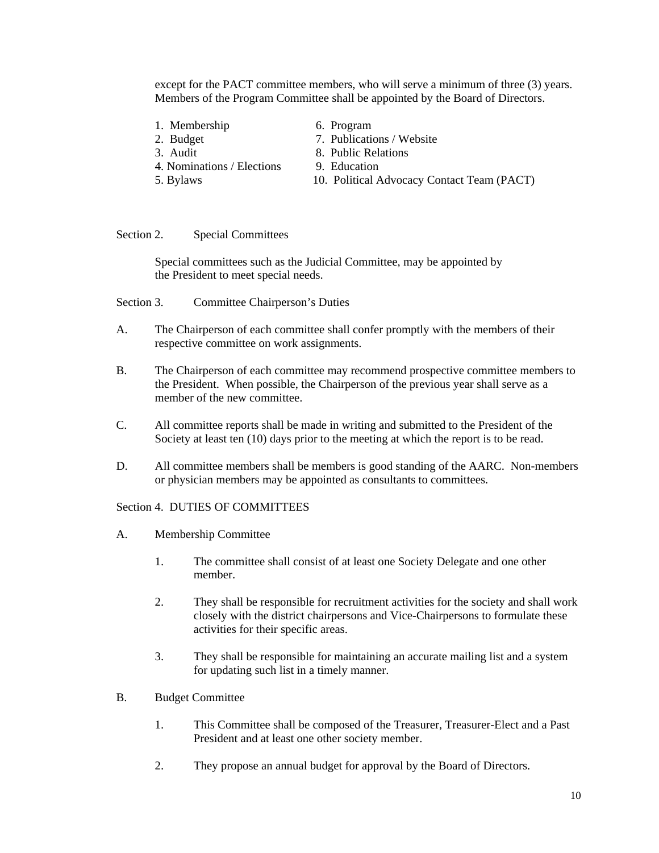except for the PACT committee members, who will serve a minimum of three (3) years. Members of the Program Committee shall be appointed by the Board of Directors.

- 1. Membership 6. Program
- 
- 
- 4. Nominations / Elections 9. Education
- 
- 
- 2. Budget 7. Publications / Website
- 3. Audit 8. Public Relations
	-
- 5. Bylaws 10. Political Advocacy Contact Team (PACT)

Section 2. Special Committees

 Special committees such as the Judicial Committee, may be appointed by the President to meet special needs.

- Section 3. Committee Chairperson's Duties
- A. The Chairperson of each committee shall confer promptly with the members of their respective committee on work assignments.
- B. The Chairperson of each committee may recommend prospective committee members to the President. When possible, the Chairperson of the previous year shall serve as a member of the new committee.
- C. All committee reports shall be made in writing and submitted to the President of the Society at least ten (10) days prior to the meeting at which the report is to be read.
- D. All committee members shall be members is good standing of the AARC. Non-members or physician members may be appointed as consultants to committees.

# Section 4 DUTIES OF COMMITTEES

- A. Membership Committee
	- 1. The committee shall consist of at least one Society Delegate and one other member.
	- 2. They shall be responsible for recruitment activities for the society and shall work closely with the district chairpersons and Vice-Chairpersons to formulate these activities for their specific areas.
	- 3. They shall be responsible for maintaining an accurate mailing list and a system for updating such list in a timely manner.
- B. Budget Committee
	- 1. This Committee shall be composed of the Treasurer, Treasurer-Elect and a Past President and at least one other society member.
	- 2. They propose an annual budget for approval by the Board of Directors.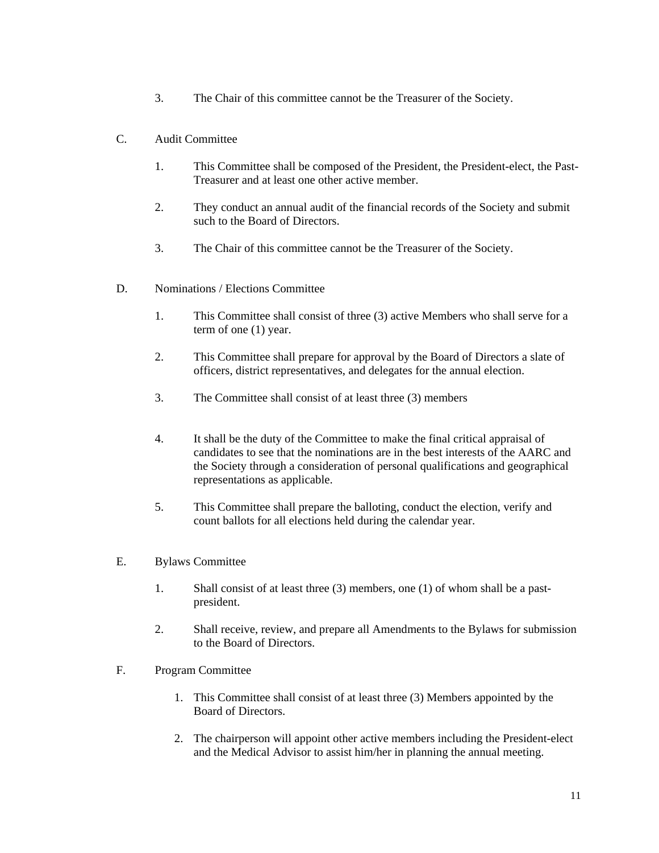3. The Chair of this committee cannot be the Treasurer of the Society.

# C. Audit Committee

- 1. This Committee shall be composed of the President, the President-elect, the Past-Treasurer and at least one other active member.
- 2. They conduct an annual audit of the financial records of the Society and submit such to the Board of Directors.
- 3. The Chair of this committee cannot be the Treasurer of the Society.
- D. Nominations / Elections Committee
	- 1. This Committee shall consist of three (3) active Members who shall serve for a term of one (1) year.
	- 2. This Committee shall prepare for approval by the Board of Directors a slate of officers, district representatives, and delegates for the annual election.
	- 3. The Committee shall consist of at least three (3) members
	- 4. It shall be the duty of the Committee to make the final critical appraisal of candidates to see that the nominations are in the best interests of the AARC and the Society through a consideration of personal qualifications and geographical representations as applicable.
	- 5. This Committee shall prepare the balloting, conduct the election, verify and count ballots for all elections held during the calendar year.

# E. Bylaws Committee

- 1. Shall consist of at least three (3) members, one (1) of whom shall be a pastpresident.
- 2. Shall receive, review, and prepare all Amendments to the Bylaws for submission to the Board of Directors.
- F. Program Committee
	- 1. This Committee shall consist of at least three (3) Members appointed by the Board of Directors.
	- 2. The chairperson will appoint other active members including the President-elect and the Medical Advisor to assist him/her in planning the annual meeting.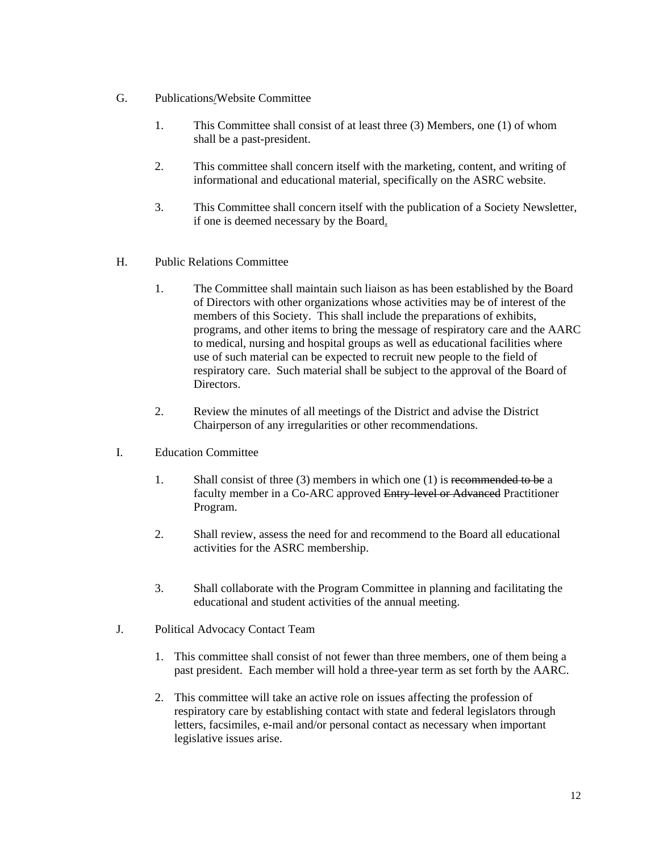- G. Publications/Website Committee
	- 1. This Committee shall consist of at least three (3) Members, one (1) of whom shall be a past-president.
	- 2. This committee shall concern itself with the marketing, content, and writing of informational and educational material, specifically on the ASRC website.
	- 3. This Committee shall concern itself with the publication of a Society Newsletter, if one is deemed necessary by the Board.
- H. Public Relations Committee
	- 1. The Committee shall maintain such liaison as has been established by the Board of Directors with other organizations whose activities may be of interest of the members of this Society. This shall include the preparations of exhibits, programs, and other items to bring the message of respiratory care and the AARC to medical, nursing and hospital groups as well as educational facilities where use of such material can be expected to recruit new people to the field of respiratory care. Such material shall be subject to the approval of the Board of Directors.
	- 2. Review the minutes of all meetings of the District and advise the District Chairperson of any irregularities or other recommendations.
- I. Education Committee
	- 1. Shall consist of three (3) members in which one (1) is recommended to be a faculty member in a Co-ARC approved Entry-level or Advanced Practitioner Program.
	- 2. Shall review, assess the need for and recommend to the Board all educational activities for the ASRC membership.
	- 3. Shall collaborate with the Program Committee in planning and facilitating the educational and student activities of the annual meeting.
- J. Political Advocacy Contact Team
	- 1. This committee shall consist of not fewer than three members, one of them being a past president. Each member will hold a three-year term as set forth by the AARC.
	- 2. This committee will take an active role on issues affecting the profession of respiratory care by establishing contact with state and federal legislators through letters, facsimiles, e-mail and/or personal contact as necessary when important legislative issues arise.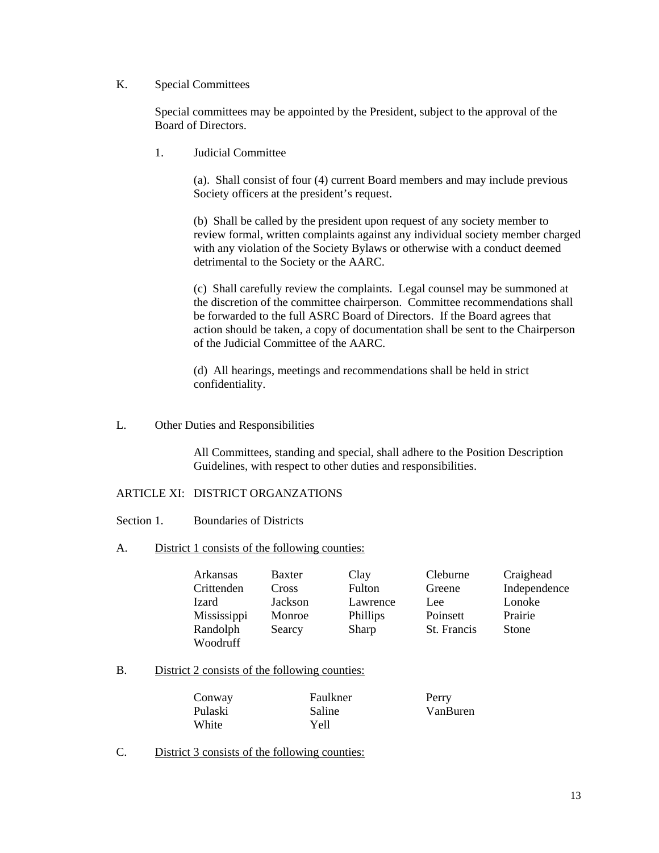## K. Special Committees

Special committees may be appointed by the President, subject to the approval of the Board of Directors.

1. Judicial Committee

(a). Shall consist of four (4) current Board members and may include previous Society officers at the president's request.

(b) Shall be called by the president upon request of any society member to review formal, written complaints against any individual society member charged with any violation of the Society Bylaws or otherwise with a conduct deemed detrimental to the Society or the AARC.

(c) Shall carefully review the complaints. Legal counsel may be summoned at the discretion of the committee chairperson. Committee recommendations shall be forwarded to the full ASRC Board of Directors. If the Board agrees that action should be taken, a copy of documentation shall be sent to the Chairperson of the Judicial Committee of the AARC.

(d) All hearings, meetings and recommendations shall be held in strict confidentiality.

L. Other Duties and Responsibilities

All Committees, standing and special, shall adhere to the Position Description Guidelines, with respect to other duties and responsibilities.

# ARTICLE XI: DISTRICT ORGANZATIONS

- Section 1. Boundaries of Districts
- A. District 1 consists of the following counties:

| Arkansas    | Baxter  | Clay     | Cleburne    | Craighead    |
|-------------|---------|----------|-------------|--------------|
| Crittenden  | Cross   | Fulton   | Greene      | Independence |
| Izard       | Jackson | Lawrence | Lee         | Lonoke       |
| Mississippi | Monroe  | Phillips | Poinsett    | Prairie      |
| Randolph    | Searcy  | Sharp    | St. Francis | Stone        |
| Woodruff    |         |          |             |              |

B. District 2 consists of the following counties:

| Conway  | Faulkner | Perry    |
|---------|----------|----------|
| Pulaski | Saline   | VanBuren |
| White   | Yell     |          |

C. District 3 consists of the following counties: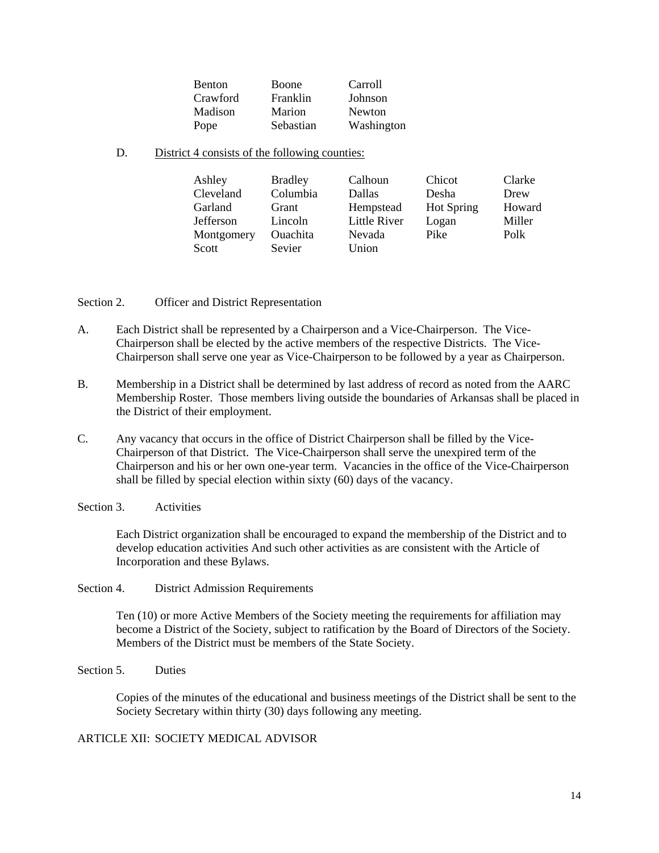| Benton   | Boone     | Carroll    |
|----------|-----------|------------|
| Crawford | Franklin  | Johnson    |
| Madison  | Marion    | Newton     |
| Pope     | Sebastian | Washington |

D. District 4 consists of the following counties:

| Ashley     | <b>Bradley</b>  | Calhoun      | Chicot            | Clarke |
|------------|-----------------|--------------|-------------------|--------|
| Cleveland  | Columbia        | Dallas       | Desha             | Drew   |
| Garland    | Grant           | Hempstead    | <b>Hot Spring</b> | Howard |
| Jefferson  | Lincoln         | Little River | Logan             | Miller |
| Montgomery | <b>Ouachita</b> | Nevada       | Pike              | Polk   |
| Scott      | Sevier          | Union        |                   |        |

Section 2. Officer and District Representation

- A. Each District shall be represented by a Chairperson and a Vice-Chairperson. The Vice-Chairperson shall be elected by the active members of the respective Districts. The Vice-Chairperson shall serve one year as Vice-Chairperson to be followed by a year as Chairperson.
- B. Membership in a District shall be determined by last address of record as noted from the AARC Membership Roster. Those members living outside the boundaries of Arkansas shall be placed in the District of their employment.
- C. Any vacancy that occurs in the office of District Chairperson shall be filled by the Vice-Chairperson of that District. The Vice-Chairperson shall serve the unexpired term of the Chairperson and his or her own one-year term. Vacancies in the office of the Vice-Chairperson shall be filled by special election within sixty (60) days of the vacancy.
- Section 3 Activities

Each District organization shall be encouraged to expand the membership of the District and to develop education activities And such other activities as are consistent with the Article of Incorporation and these Bylaws.

Section 4. District Admission Requirements

Ten (10) or more Active Members of the Society meeting the requirements for affiliation may become a District of the Society, subject to ratification by the Board of Directors of the Society. Members of the District must be members of the State Society.

Section 5. Duties

Copies of the minutes of the educational and business meetings of the District shall be sent to the Society Secretary within thirty (30) days following any meeting.

# ARTICLE XII: SOCIETY MEDICAL ADVISOR